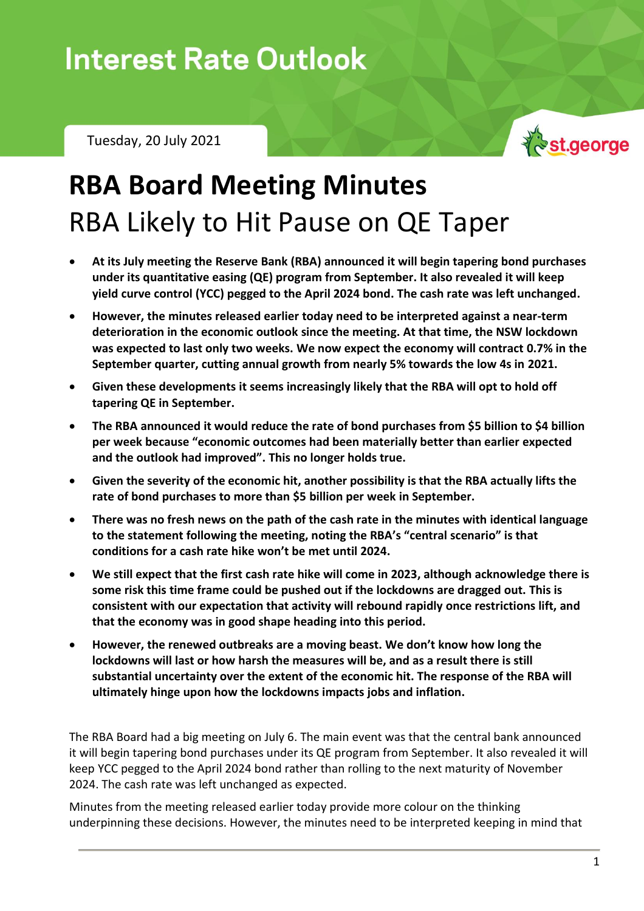## **Interest Rate Outlook**

Tuesday, 20 July 2021



## **RBA Board Meeting Minutes** RBA Likely to Hit Pause on QE Taper

- **At its July meeting the Reserve Bank (RBA) announced it will begin tapering bond purchases under its quantitative easing (QE) program from September. It also revealed it will keep yield curve control (YCC) pegged to the April 2024 bond. The cash rate was left unchanged.**
- **However, the minutes released earlier today need to be interpreted against a near-term deterioration in the economic outlook since the meeting. At that time, the NSW lockdown was expected to last only two weeks. We now expect the economy will contract 0.7% in the September quarter, cutting annual growth from nearly 5% towards the low 4s in 2021.**
- **Given these developments it seems increasingly likely that the RBA will opt to hold off tapering QE in September.**
- **The RBA announced it would reduce the rate of bond purchases from \$5 billion to \$4 billion per week because "economic outcomes had been materially better than earlier expected and the outlook had improved". This no longer holds true.**
- **Given the severity of the economic hit, another possibility is that the RBA actually lifts the rate of bond purchases to more than \$5 billion per week in September.**
- **There was no fresh news on the path of the cash rate in the minutes with identical language to the statement following the meeting, noting the RBA's "central scenario" is that conditions for a cash rate hike won't be met until 2024.**
- **We still expect that the first cash rate hike will come in 2023, although acknowledge there is some risk this time frame could be pushed out if the lockdowns are dragged out. This is consistent with our expectation that activity will rebound rapidly once restrictions lift, and that the economy was in good shape heading into this period.**
- **However, the renewed outbreaks are a moving beast. We don't know how long the lockdowns will last or how harsh the measures will be, and as a result there is still substantial uncertainty over the extent of the economic hit. The response of the RBA will ultimately hinge upon how the lockdowns impacts jobs and inflation.**

The RBA Board had a big meeting on July 6. The main event was that the central bank announced it will begin tapering bond purchases under its QE program from September. It also revealed it will keep YCC pegged to the April 2024 bond rather than rolling to the next maturity of November 2024. The cash rate was left unchanged as expected.

Minutes from the meeting released earlier today provide more colour on the thinking underpinning these decisions. However, the minutes need to be interpreted keeping in mind that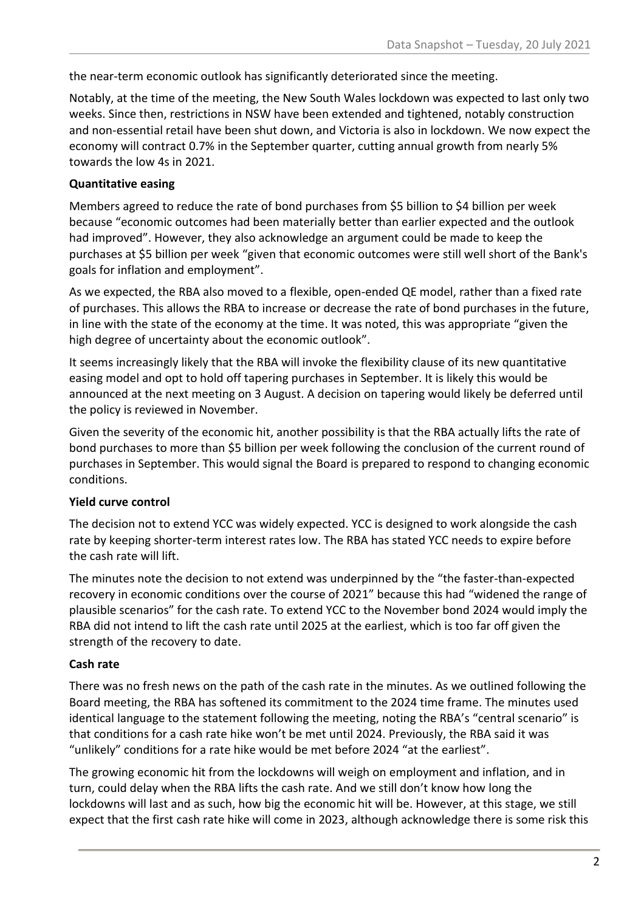the near-term economic outlook has significantly deteriorated since the meeting.

Notably, at the time of the meeting, the New South Wales lockdown was expected to last only two weeks. Since then, restrictions in NSW have been extended and tightened, notably construction and non-essential retail have been shut down, and Victoria is also in lockdown. We now expect the economy will contract 0.7% in the September quarter, cutting annual growth from nearly 5% towards the low 4s in 2021.

#### **Quantitative easing**

Members agreed to reduce the rate of bond purchases from \$5 billion to \$4 billion per week because "economic outcomes had been materially better than earlier expected and the outlook had improved". However, they also acknowledge an argument could be made to keep the purchases at \$5 billion per week "given that economic outcomes were still well short of the Bank's goals for inflation and employment".

As we expected, the RBA also moved to a flexible, open-ended QE model, rather than a fixed rate of purchases. This allows the RBA to increase or decrease the rate of bond purchases in the future, in line with the state of the economy at the time. It was noted, this was appropriate "given the high degree of uncertainty about the economic outlook".

It seems increasingly likely that the RBA will invoke the flexibility clause of its new quantitative easing model and opt to hold off tapering purchases in September. It is likely this would be announced at the next meeting on 3 August. A decision on tapering would likely be deferred until the policy is reviewed in November.

Given the severity of the economic hit, another possibility is that the RBA actually lifts the rate of bond purchases to more than \$5 billion per week following the conclusion of the current round of purchases in September. This would signal the Board is prepared to respond to changing economic conditions.

#### **Yield curve control**

The decision not to extend YCC was widely expected. YCC is designed to work alongside the cash rate by keeping shorter-term interest rates low. The RBA has stated YCC needs to expire before the cash rate will lift.

The minutes note the decision to not extend was underpinned by the "the faster-than-expected recovery in economic conditions over the course of 2021" because this had "widened the range of plausible scenarios" for the cash rate. To extend YCC to the November bond 2024 would imply the RBA did not intend to lift the cash rate until 2025 at the earliest, which is too far off given the strength of the recovery to date.

#### **Cash rate**

There was no fresh news on the path of the cash rate in the minutes. As we outlined following the Board meeting, the RBA has softened its commitment to the 2024 time frame. The minutes used identical language to the statement following the meeting, noting the RBA's "central scenario" is that conditions for a cash rate hike won't be met until 2024. Previously, the RBA said it was "unlikely" conditions for a rate hike would be met before 2024 "at the earliest".

The growing economic hit from the lockdowns will weigh on employment and inflation, and in turn, could delay when the RBA lifts the cash rate. And we still don't know how long the lockdowns will last and as such, how big the economic hit will be. However, at this stage, we still expect that the first cash rate hike will come in 2023, although acknowledge there is some risk this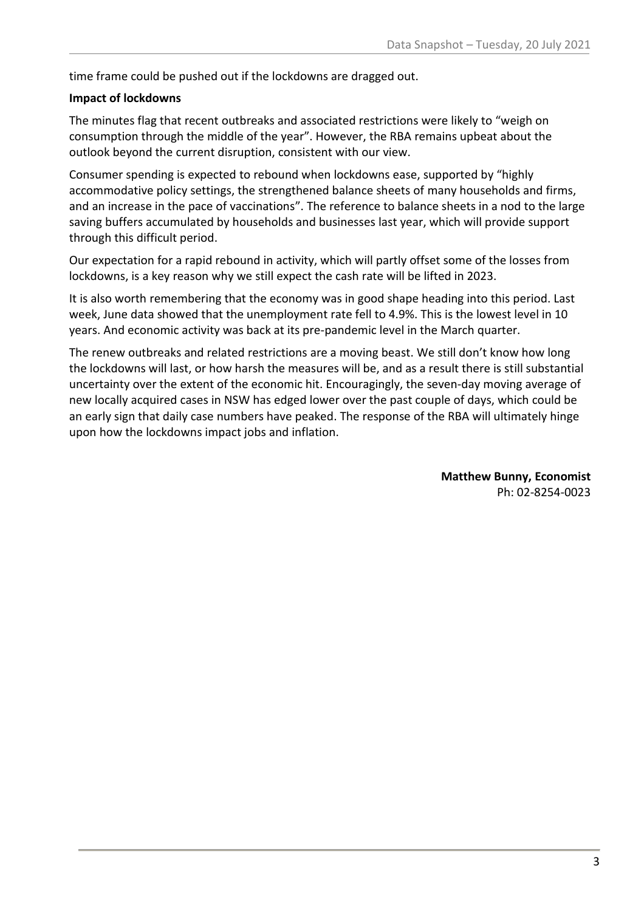time frame could be pushed out if the lockdowns are dragged out.

#### **Impact of lockdowns**

The minutes flag that recent outbreaks and associated restrictions were likely to "weigh on consumption through the middle of the year". However, the RBA remains upbeat about the outlook beyond the current disruption, consistent with our view.

Consumer spending is expected to rebound when lockdowns ease, supported by "highly accommodative policy settings, the strengthened balance sheets of many households and firms, and an increase in the pace of vaccinations". The reference to balance sheets in a nod to the large saving buffers accumulated by households and businesses last year, which will provide support through this difficult period.

Our expectation for a rapid rebound in activity, which will partly offset some of the losses from lockdowns, is a key reason why we still expect the cash rate will be lifted in 2023.

It is also worth remembering that the economy was in good shape heading into this period. Last week, June data showed that the unemployment rate fell to 4.9%. This is the lowest level in 10 years. And economic activity was back at its pre-pandemic level in the March quarter.

The renew outbreaks and related restrictions are a moving beast. We still don't know how long the lockdowns will last, or how harsh the measures will be, and as a result there is still substantial uncertainty over the extent of the economic hit. Encouragingly, the seven-day moving average of new locally acquired cases in NSW has edged lower over the past couple of days, which could be an early sign that daily case numbers have peaked. The response of the RBA will ultimately hinge upon how the lockdowns impact jobs and inflation.

> **Matthew Bunny, Economist** Ph: 02-8254-0023